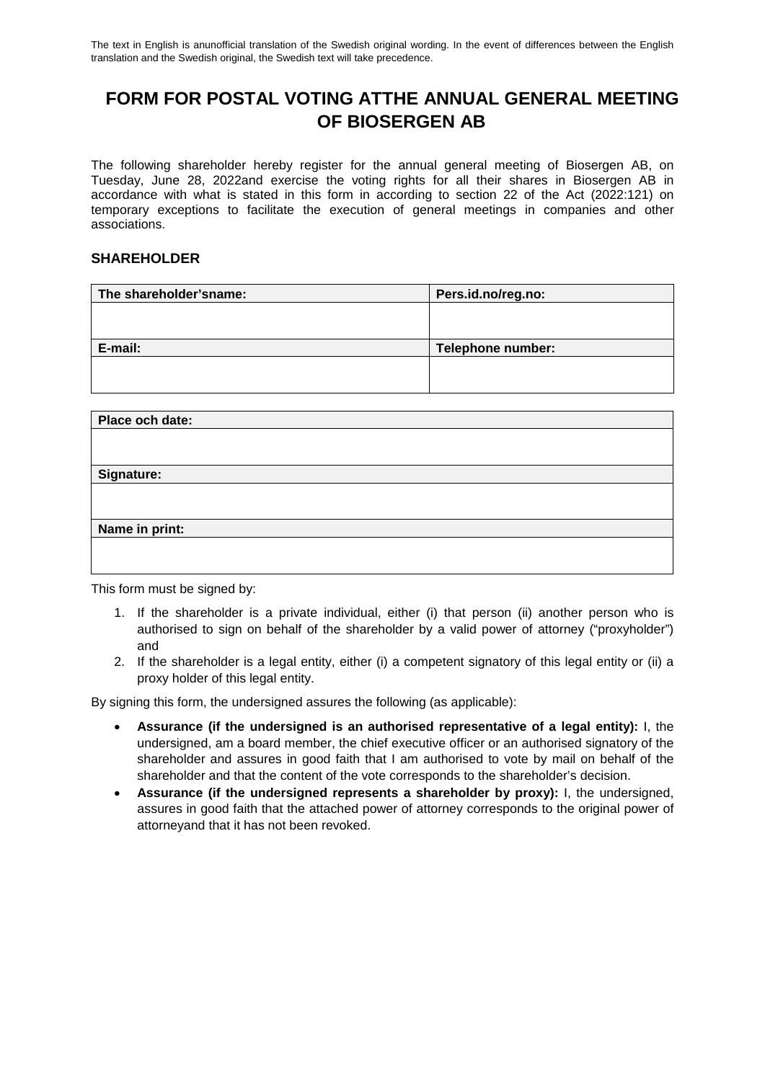# **FORM FOR POSTAL VOTING ATTHE ANNUAL GENERAL MEETING OF BIOSERGEN AB**

The following shareholder hereby register for the annual general meeting of Biosergen AB, on Tuesday, June 28, 2022and exercise the voting rights for all their shares in Biosergen AB in accordance with what is stated in this form in according to section 22 of the Act (2022:121) on temporary exceptions to facilitate the execution of general meetings in companies and other associations.

#### **SHAREHOLDER**

| The shareholder'sname: | Pers.id.no/reg.no: |
|------------------------|--------------------|
|                        |                    |
|                        |                    |
| E-mail:                | Telephone number:  |
|                        |                    |
|                        |                    |

| Place och date: |
|-----------------|
|                 |
|                 |
| Signature:      |
|                 |
|                 |
| Name in print:  |
|                 |
|                 |

This form must be signed by:

- 1. If the shareholder is a private individual, either (i) that person (ii) another person who is authorised to sign on behalf of the shareholder by a valid power of attorney ("proxyholder") and
- 2. If the shareholder is a legal entity, either (i) a competent signatory of this legal entity or (ii) a proxy holder of this legal entity.

By signing this form, the undersigned assures the following (as applicable):

- **Assurance (if the undersigned is an authorised representative of a legal entity):** I, the undersigned, am a board member, the chief executive officer or an authorised signatory of the shareholder and assures in good faith that I am authorised to vote by mail on behalf of the shareholder and that the content of the vote corresponds to the shareholder's decision.
- **Assurance (if the undersigned represents a shareholder by proxy):** I, the undersigned, assures in good faith that the attached power of attorney corresponds to the original power of attorneyand that it has not been revoked.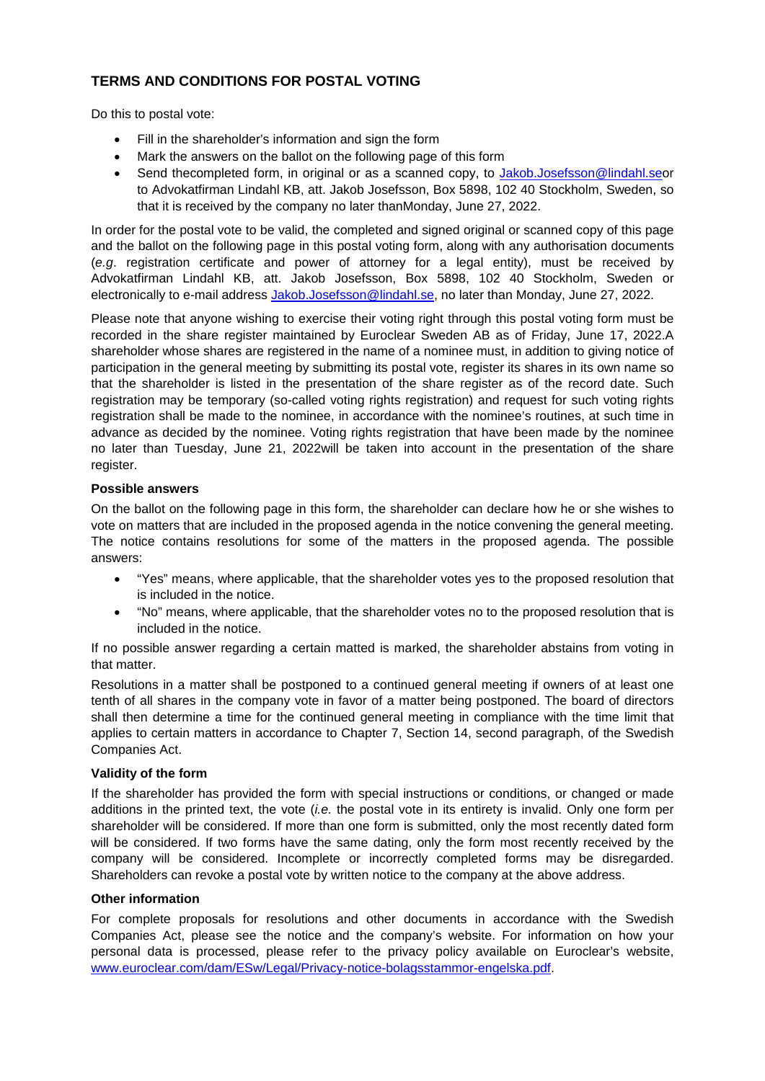### **TERMS AND CONDITIONS FOR POSTAL VOTING**

Do this to postal vote:

- Fill in the shareholder's information and sign the form
- Mark the answers on the ballot on the following page of this form
- Send thecompleted form, in original or as a scanned copy, to [Jakob.Josefsson@lindahl.seo](mailto:Jakob.Josefsson@lindahl.se)r to Advokatfirman Lindahl KB, att. Jakob Josefsson, Box 5898, 102 40 Stockholm, Sweden, so that it is received by the company no later thanMonday, June 27, 2022.

In order for the postal vote to be valid, the completed and signed original or scanned copy of this page and the ballot on the following page in this postal voting form, along with any authorisation documents (*e.g*. registration certificate and power of attorney for a legal entity), must be received by Advokatfirman Lindahl KB, att. Jakob Josefsson, Box 5898, 102 40 Stockholm, Sweden or electronically to e-mail address [Jakob.Josefsson@lindahl.se,](mailto:Jakob.Josefsson@lindahl.se) no later than Monday, June 27, 2022.

Please note that anyone wishing to exercise their voting right through this postal voting form must be recorded in the share register maintained by Euroclear Sweden AB as of Friday, June 17, 2022.A shareholder whose shares are registered in the name of a nominee must, in addition to giving notice of participation in the general meeting by submitting its postal vote, register its shares in its own name so that the shareholder is listed in the presentation of the share register as of the record date. Such registration may be temporary (so-called voting rights registration) and request for such voting rights registration shall be made to the nominee, in accordance with the nominee's routines, at such time in advance as decided by the nominee. Voting rights registration that have been made by the nominee no later than Tuesday, June 21, 2022will be taken into account in the presentation of the share register.

#### **Possible answers**

On the ballot on the following page in this form, the shareholder can declare how he or she wishes to vote on matters that are included in the proposed agenda in the notice convening the general meeting. The notice contains resolutions for some of the matters in the proposed agenda. The possible answers:

- "Yes" means, where applicable, that the shareholder votes yes to the proposed resolution that is included in the notice.
- "No" means, where applicable, that the shareholder votes no to the proposed resolution that is included in the notice.

If no possible answer regarding a certain matted is marked, the shareholder abstains from voting in that matter.

Resolutions in a matter shall be postponed to a continued general meeting if owners of at least one tenth of all shares in the company vote in favor of a matter being postponed. The board of directors shall then determine a time for the continued general meeting in compliance with the time limit that applies to certain matters in accordance to Chapter 7, Section 14, second paragraph, of the Swedish Companies Act.

#### **Validity of the form**

If the shareholder has provided the form with special instructions or conditions, or changed or made additions in the printed text, the vote (*i.e.* the postal vote in its entirety is invalid. Only one form per shareholder will be considered. If more than one form is submitted, only the most recently dated form will be considered. If two forms have the same dating, only the form most recently received by the company will be considered. Incomplete or incorrectly completed forms may be disregarded. Shareholders can revoke a postal vote by written notice to the company at the above address.

#### **Other information**

For complete proposals for resolutions and other documents in accordance with the Swedish Companies Act, please see the notice and the company's website. For information on how your personal data is processed, please refer to the privacy policy available on Euroclear's website, www.euroclear.com/dam/ESw/Legal/Privacy-notice-bolagsstammor-engelska.pdf.